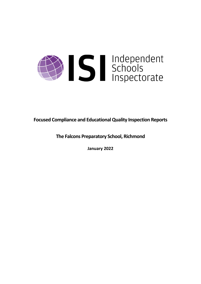

**Focused Compliance and EducationalQuality Inspection Reports**

**The Falcons Preparatory School, Richmond**

**January 2022**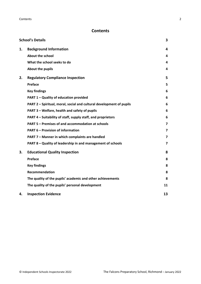## **Contents**

|    | <b>School's Details</b>                                              | 3                       |
|----|----------------------------------------------------------------------|-------------------------|
| 1. | <b>Background Information</b>                                        | 4                       |
|    | <b>About the school</b>                                              | 4                       |
|    | What the school seeks to do                                          | 4                       |
|    | About the pupils                                                     | 4                       |
| 2. | <b>Regulatory Compliance Inspection</b>                              | 5                       |
|    | Preface                                                              | 5                       |
|    | <b>Key findings</b>                                                  | 6                       |
|    | PART 1 - Quality of education provided                               | 6                       |
|    | PART 2 - Spiritual, moral, social and cultural development of pupils | 6                       |
|    | PART 3 - Welfare, health and safety of pupils                        | 6                       |
|    | PART 4 – Suitability of staff, supply staff, and proprietors         | 6                       |
|    | PART 5 - Premises of and accommodation at schools                    | $\overline{\mathbf{z}}$ |
|    | <b>PART 6 - Provision of information</b>                             | $\overline{\mathbf{z}}$ |
|    | PART 7 - Manner in which complaints are handled                      | $\overline{7}$          |
|    | PART 8 - Quality of leadership in and management of schools          | $\overline{\mathbf{z}}$ |
| 3. | <b>Educational Quality Inspection</b>                                | 8                       |
|    | Preface                                                              | 8                       |
|    | <b>Key findings</b>                                                  | 8                       |
|    | <b>Recommendation</b>                                                | 8                       |
|    | The quality of the pupils' academic and other achievements           | 8                       |
|    | The quality of the pupils' personal development                      | 11                      |
| 4. | <b>Inspection Evidence</b>                                           | 13                      |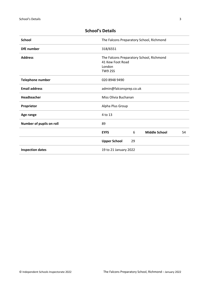| <b>School</b>            | The Falcons Preparatory School, Richmond                                                 |  |
|--------------------------|------------------------------------------------------------------------------------------|--|
| <b>DfE</b> number        | 318/6551                                                                                 |  |
| <b>Address</b>           | The Falcons Preparatory School, Richmond<br>41 Kew Foot Road<br>London<br><b>TW9 2SS</b> |  |
| Telephone number         | 020 8948 9490                                                                            |  |
| <b>Email address</b>     | admin@falconsprep.co.uk                                                                  |  |
| <b>Headteacher</b>       | Miss Olivia Buchanan                                                                     |  |
| Proprietor               | Alpha Plus Group                                                                         |  |
| Age range                | 4 to 13                                                                                  |  |
| Number of pupils on roll | 89                                                                                       |  |
|                          | <b>Middle School</b><br><b>EYFS</b><br>6<br>54                                           |  |
|                          | <b>Upper School</b><br>29                                                                |  |
| <b>Inspection dates</b>  | 19 to 21 January 2022                                                                    |  |

# <span id="page-2-0"></span>**School's Details**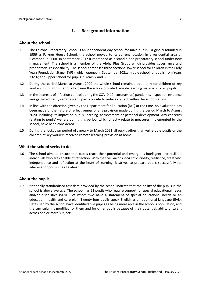## <span id="page-3-0"></span>**1. Background Information**

#### <span id="page-3-1"></span>**About the school**

- 1.1 The Falcons Preparatory School is an independent day school for male pupils. Originally founded in 1956 as Falkner House School, the school moved to its current location in a residential area of Richmond in 2008. In September 2017 it rebranded as a stand-alone preparatory school under new management. The school is a member of the Alpha Plus Group which provides governance and proprietorial responsibility. The school comprises three sections: lower school for children in the Early Years Foundation Stage (EYFS), which opened in September 2021; middle school for pupils from Years 3 to 6; and upper school for pupils in Years 7 and 8.
- 1.2 During the period March to August 2020 the whole school remained open only for children of key workers. During this period of closure the school provided remote learning materials for all pupils.
- 1.3 In the interests of infection control during the COVID-19 (coronavirus) pandemic, inspection evidence was gathered partly remotely and partly on site to reduce contact within the school setting.
- 1.4 In line with the direction given by the Department for Education (DfE) at the time, no evaluation has been made of the nature or effectiveness of any provision made during the period March to August 2020, including its impact on pupils' learning, achievement or personal development. Any concerns relating to pupils' welfare during this period, which directly relate to measures implemented by the school, have been considered.
- 1.5 During the lockdown period of January to March 2021 all pupils other than vulnerable pupils or the children of key workers received remote learning provision at home.

#### <span id="page-3-2"></span>**What the school seeks to do**

1.6 The school aims to ensure that pupils reach their potential and emerge as intelligent and resilient individuals who are capable of reflection. With the five *Falcon Habits* of curiosity, resilience, creativity, independence and reflection at the heart of learning, it strives to prepare pupils successfully for whatever opportunities lie ahead.

## <span id="page-3-3"></span>**About the pupils**

1.7 Nationally standardised test data provided by the school indicate that the ability of the pupils in the school is above average. The school has 21 pupils who require support for special educational needs and/or disabilities (SEND), of whom two have a statement of special educational needs or an education, health and care plan. Twenty-four pupils speak English as an additional language (EAL). Data used by the school have identified five pupils as being more able in the school's population, and the curriculum is modified for them and for other pupils because of their potential, ability or talent across one or more subjects.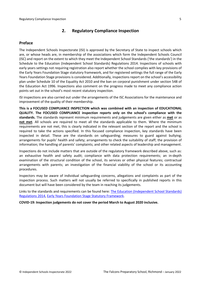## <span id="page-4-0"></span>**2. Regulatory Compliance Inspection**

## <span id="page-4-1"></span>**Preface**

The Independent Schools Inspectorate (ISI) is approved by the Secretary of State to inspect schools which are, or whose heads are, in membership of the associations which form the Independent Schools Council (ISC) and report on the extent to which they meet the Independent School Standards ('the standards') in the Schedule to the Education (Independent School Standards) Regulations 2014. Inspections of schools with early years settings not requiring registration also report whether the school complies with key provisions of the Early Years Foundation Stage statutory framework, and for registered settings the full range of the Early Years Foundation Stage provisions is considered. Additionally, inspections report on the school's accessibility plan under Schedule 10 of the Equality Act 2010 and the ban on corporal punishment under section 548 of the Education Act 1996. Inspections also comment on the progress made to meet any compliance action points set out in the school's most recent statutory inspection.

ISI inspections are also carried out under the arrangements of the ISC Associations for the maintenance and improvement of the quality of their membership.

**This is a FOCUSED COMPLIANCE INSPECTION which was combined with an inspection of EDUCATIONAL QUALITY. The FOCUSED COMPLIANCE inspection reports only on the school's compliance with the standards.** The standards represent minimum requirements and judgements are given either as **met** or as **not met**. All schools are required to meet all the standards applicable to them. Where the minimum requirements are not met, this is clearly indicated in the relevant section of the report and the school is required to take the actions specified. In this focused compliance inspection, key standards have been inspected in detail. These are the standards on safeguarding; measures to guard against bullying; arrangements for pupils' health and safety; arrangements to check the suitability of staff; the provision of information; the handling of parents' complaints; and other related aspects of leadership and management.

Inspections do not include matters that are outside of the regulatory framework described above, such as: an exhaustive health and safety audit; compliance with data protection requirements; an in-depth examination of the structural condition of the school, its services or other physical features; contractual arrangements with parents; an investigation of the financial viability of the school or its accounting procedures.

Inspectors may be aware of individual safeguarding concerns, allegations and complaints as part of the inspection process. Such matters will not usually be referred to specifically in published reports in this document but will have been considered by the team in reaching its judgements.

Links to the standards and requirements can be found here: The Education [\(Independent](http://www.legislation.gov.uk/uksi/2014/3283/contents/made) School Standards) [Regulations](http://www.legislation.gov.uk/uksi/2014/3283/contents/made) 2014, Early Years Foundation Stage Statutory [Framework.](https://www.gov.uk/government/publications/early-years-foundation-stage-framework--2)

**COVID-19: Inspection judgements do not cover the period March to August 2020 inclusive.**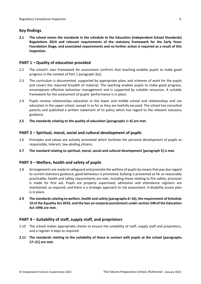## <span id="page-5-0"></span>**Key findings**

**2.1 The school meets the standards in the schedule to the Education (Independent School Standards) Regulations 2014 and relevant requirements of the statutory framework for the Early Years Foundation Stage, and associated requirements and no further action is required as a result of this inspection.**

## <span id="page-5-1"></span>**PART 1 – Quality of education provided**

- 2.2 The school's own framework for assessment confirms that teaching enables pupils to make good progress in the context of Part 1 paragraph 3(a).
- 2.3 The curriculum is documented, supported by appropriate plans and schemes of work for the pupils and covers the required breadth of material. The teaching enables pupils to make good progress, encompasses effective behaviour management and is supported by suitable resources. A suitable framework for the assessment of pupils' performance is in place.
- 2.4 Pupils receive relationships education in the lower and middle school and relationships and sex education in the upper school, except in so far as they are lawfully excused. The school has consulted parents and published a written statement of its policy which has regard to the relevant statutory guidance.
- **2.5 The standards relating to the quality of education [paragraphs 1–4] are met.**

## <span id="page-5-2"></span>**PART 2 – Spiritual, moral, social and cultural development of pupils**

- 2.6 Principles and values are actively promoted which facilitate the personal development of pupils as responsible, tolerant, law-abiding citizens.
- **2.7 The standard relating to spiritual, moral, social and cultural development [paragraph 5] is met.**

## <span id="page-5-3"></span>**PART 3 – Welfare, health and safety of pupils**

- 2.8 Arrangements are made to safeguard and promote the welfare of pupils by means that pay due regard to current statutory guidance; good behaviour is promoted; bullying is prevented so far as reasonably practicable; health and safety requirements are met, including those relating to fire safety; provision is made for first aid. Pupils are properly supervised; admission and attendance registers are maintained, as required, and there is a strategic approach to risk assessment. A disability access plan is in place.
- **2.9 The standardsrelating to welfare, health and safety [paragraphs 6–16], the requirement of Schedule 10 of the Equality Act 2010, and the ban on corporal punishment undersection 548 of the Education Act 1996 are met.**

## <span id="page-5-4"></span>**PART 4 – Suitability of staff, supply staff, and proprietors**

- 2.10 The school makes appropriate checks to ensure the suitability of staff, supply staff and proprietors, and a register is kept as required.
- **2.11 The standards relating to the suitability of those in contact with pupils at the school [paragraphs 17–21] are met.**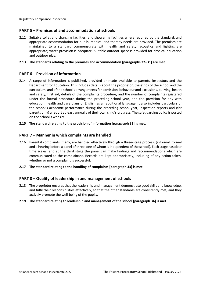## <span id="page-6-0"></span>**PART 5 – Premises of and accommodation at schools**

2.12 Suitable toilet and changing facilities, and showering facilities where required by the standard, and appropriate accommodation for pupils' medical and therapy needs are provided. The premises are maintained to a standard commensurate with health and safety; acoustics and lighting are appropriate; water provision is adequate. Suitable outdoor space is provided for physical education and outdoor play.

#### **2.13 The standards relating to the premises and accommodation [paragraphs 22–31] are met.**

## <span id="page-6-1"></span>**PART 6 – Provision of information**

- 2.14 A range of information is published, provided or made available to parents, inspectors and the Department for Education. This includes details about the proprietor, the ethos of the school and the curriculum, and of the school's arrangementsfor admission, behaviour and exclusions, bullying, health and safety, first aid, details of the complaints procedure, and the number of complaints registered under the formal procedure during the preceding school year, and the provision for any with education, health and care plans or English as an additional language. It also includes particulars of the school's academic performance during the preceding school year, inspection reports and (for parents only) a report at least annually of their own child's progress. The safeguarding policy is posted on the school's website.
- **2.15 The standard relating to the provision of information [paragraph 32] is met.**

#### <span id="page-6-2"></span>**PART 7 – Manner in which complaints are handled**

- 2.16 Parental complaints, if any, are handled effectively through a three-stage process, (informal, formal and a hearing before a panel of three, one of whom is independent of the school). Each stage has clear time scales, and at the third stage the panel can make findings and recommendations which are communicated to the complainant. Records are kept appropriately, including of any action taken, whether or not a complaint is successful.
- **2.17 The standard relating to the handling of complaints [paragraph 33] is met.**

## <span id="page-6-3"></span>**PART 8 – Quality of leadership in and management of schools**

2.18 The proprietor ensures that the leadership and management demonstrate good skills and knowledge, and fulfil their responsibilities effectively, so that the other standards are consistently met, and they actively promote the well-being of the pupils.

#### **2.19 The standard relating to leadership and management of the school [paragraph 34] is met.**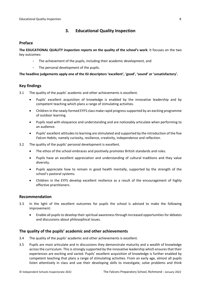## <span id="page-7-0"></span>**3. Educational Quality Inspection**

#### <span id="page-7-1"></span>**Preface**

**The EDUCATIONAL QUALITY inspection reports on the quality of the school's work**. It focuses on the two key outcomes:

- The achievement of the pupils, including their academic development, and
- The personal development of the pupils.

**The headline judgements apply one of the ISI descriptors 'excellent', 'good', 'sound' or 'unsatisfactory'.**

## <span id="page-7-2"></span>**Key findings**

- 3.1 The quality of the pupils' academic and other achievements is excellent.
	- Pupils' excellent acquisition of knowledge is enabled by the innovative leadership and by competent teaching which plans a range of stimulating activities.
	- Children in the newly formed EYFS class make rapid progress supported by an exciting programme of outdoor learning.
	- Pupils read with eloquence and understanding and are noticeably articulate when performing to an audience.
	- Pupils' excellent attitudesto learning are stimulated and supported by the introduction of the five *Falcon Habits,* namely curiosity, resilience, creativity, independence and reflection.
- 3.2 The quality of the pupils' personal development is excellent.
	- The ethos of the school embraces and positively promotes British standards and rules.
	- Pupils have an excellent appreciation and understanding of cultural traditions and they value diversity.
	- Pupils appreciate how to remain in good health mentally, supported by the strength of the school's pastoral systems.
	- Children in the EYFS develop excellent resilience as a result of the encouragement of highly effective practitioners.

#### <span id="page-7-3"></span>**Recommendation**

- 3.3 In the light of the excellent outcomes for pupils the school is advised to make the following improvement:
	- Enable all pupils to develop their spiritual awareness through increased opportunities for debates and discussions about philosophical issues.

#### <span id="page-7-4"></span>**The quality of the pupils' academic and other achievements**

- 3.4 The quality of the pupils' academic and other achievements is excellent.
- 3.5 Pupils are most articulate and in discussions they demonstrate maturity and a wealth of knowledge across the curriculum. This is strongly supported by the innovative leadership which ensures that their experiences are exciting and varied. Pupils' excellent acquisition of knowledge is further enabled by competent teaching that plans a range of stimulating activities. From an early age, almost all pupils listen attentively in class and use their developing skills to investigate, solve problems and think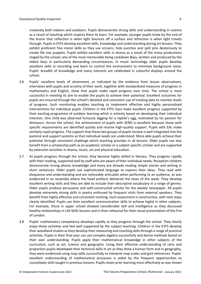creatively both indoors and outdoors. Pupils demonstrate strong skills and understanding in science as a result of teaching which inspires them to learn. For example, younger pupils knew by the end of the lesson that reflection is when light bounces off a surface and refraction is when light travels through. Pupils in EYFS develop excellent skills, knowledge and understanding during art lessons. They exhibit proficient fine motor skills as they use scissors, hole punches and split pins dexterously to create life size puppets. Pupils exhibit excellent skills in drama as a result of the many productions staged by the school; one of the most memorable being *Lockdown Boys,* written and produced by the oldest boys in particularly demanding circumstances. In music technology older pupils develop excellent skills in recording and learn to control the environment to minimise background noise. Pupils' breadth of knowledge and many interests are celebrated in colourful displays around the school.

- 3.6 Pupils' excellent levels of attainment, as indicated by the evidence from lesson observations, interviews with pupils and scrutiny of their work, together with standardised measures of progress in mathematics and English, show that pupils make rapid progress over time. The school is most successful in meeting its aim to enable the pupils to achieve their potential. Excellent outcomes for pupils are ensured through the school's detailed and consistent use of tracking data to monitor levels of progress. Such monitoring enables teaching to implement effective and highly personalised interventions for individual pupils. Children in the EYFS class make excellent progress supported by their exciting programme of outdoor learning which is entirely based on developing their individual interests. One child was observed furiously digging for a reptile's egg, motivated by his passion for dinosaurs. Across the school, the achievement of pupils with SEND is excellent because those with specific requirements are identified quickly and receive high-quality support. Pupils with EAL make similarly rapid progress. The support that these two groups of pupils receive is well integrated into the pastoral and support systems so that individual needs are understood. More able pupils achieve their potential through consistent challenge which teaching provides in all lessons. Older pupils can also benefit from a scholarship path as an academic scholar or a subject specific scholar and are supported by extension activities in drama, music, art and physical education.
- 3.7 As pupils progress through the school, they become highly skilled in literacy. They progress rapidly with their reading, supported well by staff who are aware of their individual needs. Reception children demonstrate strong phonic knowledge and many are already reading simple stories and writing in short sentences. Older pupils use sophisticated language to express their ideas. They read with eloquence and understanding and are noticeably articulate when performing to an audience, as was evidenced in an assembly where the head prefects delivered the news of the week. They develop excellent writing skills and they are able to include their descriptive vocabulary in a range of genres. Older pupils produce persuasive and well-constructed articles for the weekly newspaper. All pupils develop extremely strong skills in poetry enthused by frequent visits from external speakers. They benefit from highly effective and consistent marking. Such assessment is constructive, with next steps clearly identified. Pupils use their excellent communication skills to achieve highly in other subjects. For example, those in upper school showed considerable skill and intelligence as they discussed healthy relationships in Life Skills lessons and in their rehearsal for their visual presentation of the Fire of London.
- 3.8 Pupils' mathematics competency develops rapidly as they progress through the school. They clearly enjoy these activities and feel well supported by the subject teaching. Children in the EYFS develop their woodland studies as they develop their measuring and counting skills through a range of practical activities. Pupils in their final year can use complex algebra successfully and derive methods based on their own understanding. Pupils apply their mathematical knowledge in other subjects of the curriculum, such as art, science and geography. Using their effective understanding of ratio and proportion pupils developed their technical skills in art as they drew a human form and in geography, they were evidenced using map skills successfully to interpret map scales and grid references. Pupils' excellent understanding of mathematical processes is aided by the frequent opportunities to consolidate skills taught in previous lessons. Pupils retain prior learning most effectively as was shown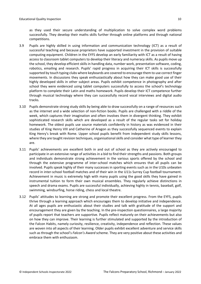as they used their secure understanding of multiplication to solve complex word problems successfully. They develop their maths skills further through online platforms and through national competitions.

- 3.9 Pupils are highly skilled in using information and communication technology (ICT) as a result of successful teaching and because proprietors have supported investment in the provision of suitable computing equipment. Children in the EYFS develop an early familiarity with ICT as a result of having access to classroom tablet computers to develop their literacy and numeracy skills. As pupils move up the school, they develop efficient skills in handling data, number work, presentation software, coding, robotics, emailing and research. Pupils' rapid progress in acquiring their ICT skills is successfully supported by touch typing clubs where keyboards are covered to encourage them to use correct finger movements. In discussions they speak enthusiastically about how they can make good use of their highly developed skills in other subject areas. Pupils exhibit competence in photography and after school they were evidenced using tablet computers successfully to access the school's technology platform to complete their Latin and maths homework. Pupils develop their ICT competence further through musical technology where they can successfully record vocal interviews and digital audio tracks*.*
- 3.10 Pupils demonstrate strong study skills by being able to draw successfully on a range of resources such as the internet and a wide selection of non-fiction books. Pupils are challenged with a riddle of the week, which captures their imagination and often involves them in divergent thinking. They exhibit sophisticated research skills which are developed as a result of the regular tasks set for holiday homework. The oldest pupils use source materials confidently in history as was evidenced in their studies of King Henry VIII and Catherine of Aragon as they successfully sequenced events to explain King Henry's break with Rome. Upper school pupils benefit from independent study skills lessons, where they are taught revision techniques, organisational skills and consider what type of learner they are.
- 3.11 Pupils' achievements are excellent both in and out of school as they are actively encouraged to participate in an extensive range of activities in a bid to find their strengths and passions. Both groups and individuals demonstrate strong achievement in the various sports offered by the school and through the extensive programme of inter-school matches which ensures that all pupils can be involved. Pupils speak highly of their many successes in sporting events such as in the U10s unbeaten record in inter-school football matches and of their win in the U11s Surrey Cup football tournament. Achievement in music is extremely high with many pupils using the good skills they have gained in instrumental tuition to form their own musical ensembles. They regularly achieve distinctions in speech and drama exams. Pupils are successful individually, achieving highly in tennis, baseball, golf, swimming*,* windsurfing, horse riding, chess and local theatre.
- 3.12 Pupils' attitudes to learning are strong and promote their excellent progress. From the EYFS, pupils thrive through a learning approach which encourages them to develop initiative and independence. At all ages pupils are enthusiastic about their studies and talk with gratitude of the support and encouragement they are given by the teaching. In the pre-inspection questionnaires, a large majority of pupils report that teachers are supportive. Pupils reflect maturely on their achievements but also on how they can improve. Their learning is further stimulated and supported by the introduction of the Falcon Habits, namely curiosity, resilience, creativity, independence and reflection. These values are woven into all aspects of their learning. Older pupils exhibit excellent adventure and service skills such as through the school's *Falcon's Award* scheme. They are very positive about these activities and embrace them with enthusiasm.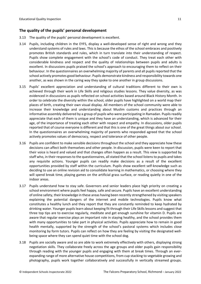## <span id="page-10-0"></span>**The quality of the pupils' personal development**

- 3.13 The quality of the pupils' personal development is excellent.
- 3.14 Pupils, including children in the EYFS, display a well-developed sense of right and wrong and they understand systems of rules and laws. This is because the ethos of the school embraces and positively promotes British standards and rules, which in turn translate into their understanding of respect. Pupils show complete engagement with the school's code of conduct. They treat each other with considerable kindness and respect and the quality of relationships between pupils and adults is excellent. In discussions pupils praised the school's approach to encouraging them to reflect on their behaviour. In the questionnaires an overwhelming majority of parents and all pupils reported that the school actively promotes good behaviour. Pupils demonstrate kindness and responsibility towards one another, as was shown in the caring way they spoke to one another in group discussions.
- 3.15 Pupils' excellent appreciation and understanding of cultural traditions different to their own is achieved through their work in Life Skills and religious studies lessons. They value diversity, as was evidenced in discussions as pupils reflected on school activities based around Black History Month. In order to celebrate the diversity within the school, older pupils have highlighted on a world map their places of birth, creating their own visual display. All members of the school community were able to increase their knowledge and understanding about Muslim customs and practices through an informative assembly delivered by a group of pupils who were participating in Ramadan. Pupils readily appreciate that each of them is unique and they have an understanding, which is advanced for their age, of the importance of treating each other with respect and empathy. In discussions, older pupils reported that of course everyone is different and that this is one of the great things about our school. In the questionnaires an overwhelming majority of parents who responded agreed that the school actively promotes values of democracy, respect and tolerance of other people.
- 3.16 Pupils are confident to make sensible decisions throughout the school and they appreciate how these decisions can affect both themselves and other people. In discussion, pupils were keen to report that their voice is heard and valued and that changes often happen as a result. This view is supported by staff who, in their responses to the questionnaires, all stated that the school listens to pupils and takes any requisite actions. Younger pupils can readily make decisions as a result of the excellent opportunities provided by staff within the curriculum. Pupils show excellent self-knowledge such as deciding to use an online revision aid to consolidate learning in mathematics, or choosing where they will spend break time, playing games on the artificial grass surface, or reading quietly in one of the indoor areas.
- 3.17 Pupils understand how to stay safe. Governors and senior leaders place high priority on creating a school environment where pupils feel happy, safe and secure. Pupils have an excellent understanding of online safety, their knowledge in these areas having been recently strengthened by visiting speakers explaining the potential dangers of the internet and mobile technologies. Pupils know what constitutes a healthy lunch and they report that they are constantly reminded to keep hydrated by drinking water. Younger pupils learn about keeping fit through their Life Skills lessons and suggest that three top tips are to exercise regularly, meditate and get enough sunshine for vitamin D. Pupils are aware that regular exercise plays an important role in staying healthy, and the school provides them with many opportunities to take part in physical activities. Pupils appreciate how to remain in good health mentally, supported by the strength of the school's pastoral systems which includes close monitoring by form tutors. Pupils can reflect on how they are feeling by visiting the designated wellbeing space where they can spend quiet time with the school dog.
- 3.18 Pupils are socially aware and so are able to work extremely effectively with others, displaying strong negotiation skills. They collaborate freely across the age groups and older pupils gain responsibility through reading with the younger pupils and engaging with them at break times. Through an everexpanding range of more alternative house competitions, from cup stacking to vegetable growing and photography, pupils work together collaboratively and successfully in vertically streamed groups.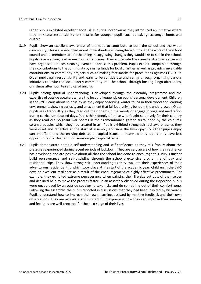Older pupils exhibited excellent social skills during lockdown as they introduced an initiative where they took total responsibility to set tasks for younger pupils such as baking, scavenger hunts and quizzes.

- 3.19 Pupils show an excellent awareness of the need to contribute to both the school and the wider community. This well-developed moral understanding is strengthened through the work of the school council and its members are forthcoming in suggesting changes they would like to see in the school. Pupils take a strong lead in environmental issues. They appreciate the damage litter can cause and have organised a beach cleaning event to address this problem. Pupils exhibit compassion through their contributions to the community by raising funds for local charities as well as providing invaluable contributions to community projects such as making face masks for precautions against COVID-19. Older pupils gain responsibility and learn to be considerate and caring through organising various initiatives to invite the local elderly community into the school, through hosting Bingo afternoons, Christmas afternoon tea and carol singing.
- 3.20 Pupils' strong spiritual understanding is developed through the assembly programme and the expertise of outside speakers where the focus is frequently on pupils' personal development. Children in the EYFS learn about spirituality as they enjoy observing winter fauna in their woodland learning environment, showing curiosity and amazement that fairies are living beneath the undergrowth. Older pupils seek tranquillity as they read out their poems in the woods or engage in yoga and meditation during curriculum focused days. Pupils think deeply of those who fought so bravely for their country as they read out poignant war poems in their remembrance garden surrounded by the colourful ceramic poppies which they had created in art. Pupils exhibited strong spiritual awareness as they were quiet and reflective at the start of assembly and sang the hymn joyfully. Older pupils enjoy current affairs and the ensuing debates on topical issues. In interview they report they have less opportunities for deeper discussions on philosophical issues.
- 3.21 Pupils demonstrate notable self-understanding and self-confidence as they talk frankly about the pressures experienced during recent periods of lockdown. They are very aware of how their resilience has developed and are positive about all that the school has done to encourage this. Pupils further build perseverance and self-discipline through the school's extensive programme of day and residential trips. They show strong self-understanding as they evaluate their experiences of their adventurous residential trip which took place at the start of the academic year. Children in the EYFS develop excellent resilience as a result of the encouragement of highly effective practitioners. For example, they exhibited extreme perseverance when painting their life size cut outs of themselves and declined help to make the process faster. In an assembly observed during the inspection pupils were encouraged by an outside speaker to take risks and do something out of their comfort zone. Following the assembly, the pupils reported in discussions that they had been inspired by his words. Pupils understand how to improve their own learning, assisted by marking feedback and their own observations. They are articulate and thoughtful in expressing how they can improve their learning and feel they are well prepared for the next stage of their lives.